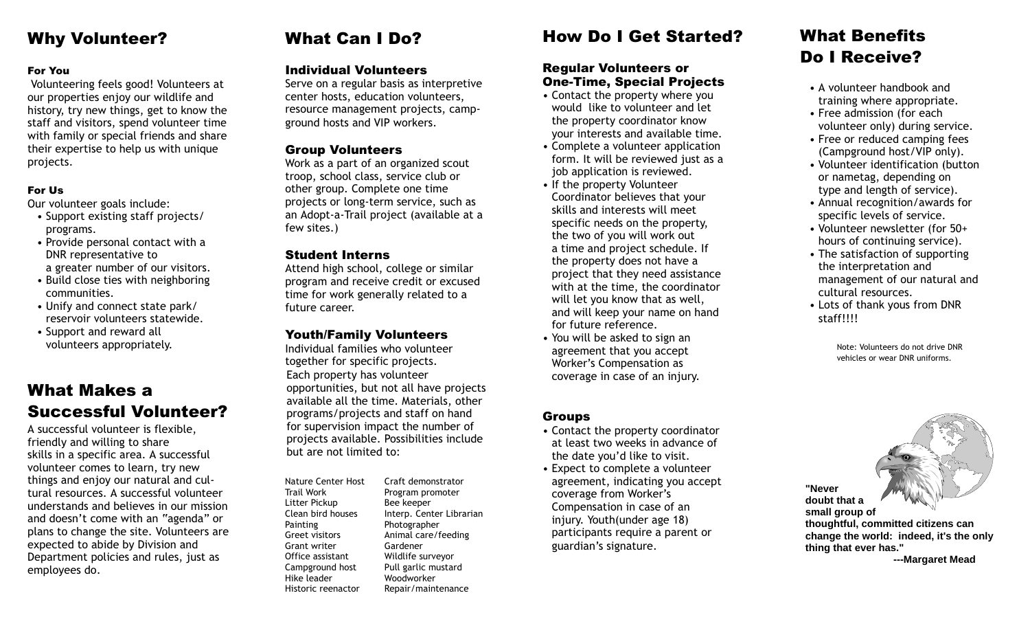## Why Volunteer?

#### For You

Volunteering feels good! Volunteers at our properties enjoy our wildlife and history, try new things, get to know the staff and visitors, spend volunteer time with family or special friends and share their expertise to help us with unique projects.

#### For Us

Our volunteer goals include:

- Support existing staff projects/ programs.
- Provide personal contact with a DNR representative to a greater number of our visitors.
- Build close ties with neighboring communities.
- Unify and connect state park/ reservoir volunteers statewide.
- Support and reward all volunteers appropriately.

## What Makes a Successful Volunteer?

A successful volunteer is flexible, friendly and willing to share skills in a specific area. A successful volunteer comes to learn, try new things and enjoy our natural and cultural resources. A successful volunteer understands and believes in our mission and doesn't come with an "agenda" or plans to change the site. Volunteers are expected to abide by Division and Department policies and rules, just as employees do.

# What Can I Do?

#### Individual Volunteers

Serve on a regular basis as interpretive center hosts, education volunteers, resource management projects, campground hosts and VIP workers.

### Group Volunteers

Work as a part of an organized scout troop, school class, service club or other group. Complete one time projects or long-term service, such as an Adopt-a-Trail project (available at a few sites.)

#### Student Interns

Attend high school, college or similar program and receive credit or excused time for work generally related to a future career.

### Youth/Family Volunteers

Each property has volunteer opportunities, but not all have projects available all the time. Materials, other programs/projects and staff on hand for supervision impact the number of projects available. Possibilities include but are not limited to: Individual families who volunteer together for specific projects.

Nature Center Host Trail Work Litter Pickup Clean bird houses Painting Greet visitors Grant writer Office assistant Campground host Hike leader Historic reenactor

Craft demonstrator Program promoter Bee keeper Interp. Center Librarian Photographer Animal care/feeding Gardener Wildlife surveyor Pull garlic mustard Woodworker Repair/maintenance

## How Do I Get Started?

## Regular Volunteers or One-Time, Special Projects

- Contact the property where you would like to volunteer and let the property coordinator know your interests and available time.
- Complete a volunteer application form. It will be reviewed just as a job application is reviewed.
- If the property Volunteer Coordinator believes that your skills and interests will meet specific needs on the property, the two of you will work out a time and project schedule. If the property does not have a project that they need assistance with at the time, the coordinator will let you know that as well, and will keep your name on hand for future reference.
- You will be asked to sign an agreement that you accept Worker's Compensation as coverage in case of an injury.

#### Groups

- Contact the property coordinator at least two weeks in advance of the date you'd like to visit.
- Expect to complete a volunteer agreement, indicating you accept coverage from Worker's Compensation in case of an injury. Youth(under age 18) participants require a parent or guardian's signature.

## What Benefits Do I Receive?

- A volunteer handbook and training where appropriate.
- Free admission (for each volunteer only) during service.
- Free or reduced camping fees (Campground host/VIP only).
- Volunteer identification (button or nametag, depending on type and length of service).
- Annual recognition/awards for specific levels of service.
- Volunteer newsletter (for 50+ hours of continuing service).
- The satisfaction of supporting the interpretation and management of our natural and cultural resources.
- Lots of thank yous from DNR staff!!!!

Note: Volunteers do not drive DNR vehicles or wear DNR uniforms.

**"Never doubt that a small group of thoughtful, committed citizens can change the world: indeed, it's the only thing that ever has." ---Margaret Mead**